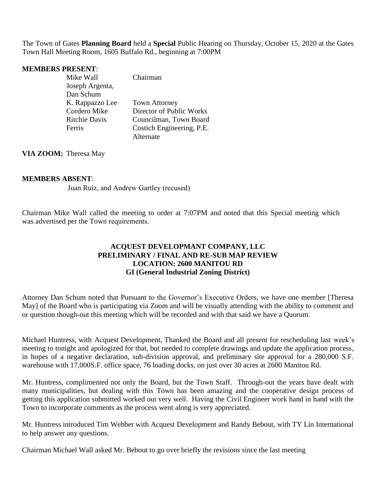The Town of Gates **Planning Board** held a **Special** Public Hearing on Thursday, October 15, 2020 at the Gates Town Hall Meeting Room, 1605 Buffalo Rd., beginning at 7:00PM

#### **MEMBERS PRESENT**:

| Mike Wall            | Chairman                  |
|----------------------|---------------------------|
| Joseph Argenta,      |                           |
| Dan Schum            |                           |
| K. Rappazzo Lee      | <b>Town Attorney</b>      |
| Cordero Mike         | Director of Public Works  |
| <b>Ritchie Davis</b> | Councilman, Town Board    |
| Ferris               | Costich Engineering, P.E. |
|                      | Alternate                 |

**VIA ZOOM:** Theresa May

### **MEMBERS ABSENT**:

Juan Ruiz, and Andrew Gartley (recused)

Chairman Mike Wall called the meeting to order at 7:07PM and noted that this Special meeting which was advertised per the Town requirements.

## **ACQUEST DEVELOPMANT COMPANY, LLC PRELIMINARY / FINAL AND RE-SUB MAP REVIEW LOCATION: 2600 MANITOU RD GI (General Industrial Zoning District)**

Attorney Dan Schum noted that Pursuant to the Governor's Executive Orders, we have one member [Theresa May] of the Board who is participating via Zoom and will be visually attending with the ability to comment and or question though-out this meeting which will be recorded and with that said we have a Quorum.

Michael Huntress, with Acquest Development, Thanked the Board and all present for rescheduling last week's meeting to tonight and apologized for that, but needed to complete drawings and update the application process, in hopes of a negative declaration, sub-division approval, and preliminary site approval for a 280,000 S.F. warehouse with 17,000S.F. office space, 76 loading docks, on just over 30 acres at 2600 Manitou Rd.

Mr. Huntress, complimented not only the Board, but the Town Staff. Through-out the years have dealt with many municipalities, but dealing with this Town has been amazing and the cooperative design process of getting this application submitted worked out very well. Having the Civil Engineer work hand in hand with the Town to incorporate comments as the process went along is very appreciated.

Mr. Huntress introduced Tim Webber with Acquest Development and Randy Bebout, with TY Lin International to help answer any questions.

Chairman Michael Wall asked Mr. Bebout to go over briefly the revisions since the last meeting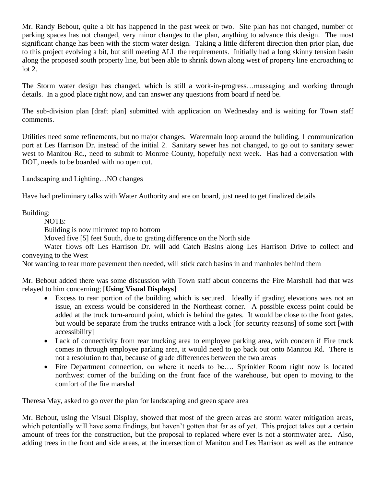Mr. Randy Bebout, quite a bit has happened in the past week or two. Site plan has not changed, number of parking spaces has not changed, very minor changes to the plan, anything to advance this design. The most significant change has been with the storm water design. Taking a little different direction then prior plan, due to this project evolving a bit, but still meeting ALL the requirements. Initially had a long skinny tension basin along the proposed south property line, but been able to shrink down along west of property line encroaching to lot 2.

The Storm water design has changed, which is still a work-in-progress…massaging and working through details. In a good place right now, and can answer any questions from board if need be.

The sub-division plan [draft plan] submitted with application on Wednesday and is waiting for Town staff comments.

Utilities need some refinements, but no major changes. Watermain loop around the building, 1 communication port at Les Harrison Dr. instead of the initial 2. Sanitary sewer has not changed, to go out to sanitary sewer west to Manitou Rd., need to submit to Monroe County, hopefully next week. Has had a conversation with DOT, needs to be boarded with no open cut.

Landscaping and Lighting…NO changes

Have had preliminary talks with Water Authority and are on board, just need to get finalized details

Building;

NOTE:

Building is now mirrored top to bottom

Moved five [5] feet South, due to grating difference on the North side

Water flows off Les Harrison Dr. will add Catch Basins along Les Harrison Drive to collect and conveying to the West

Not wanting to tear more pavement then needed, will stick catch basins in and manholes behind them

Mr. Bebout added there was some discussion with Town staff about concerns the Fire Marshall had that was relayed to him concerning; [**Using Visual Displays**]

- Excess to rear portion of the building which is secured. Ideally if grading elevations was not an issue, an excess would be considered in the Northeast corner. A possible excess point could be added at the truck turn-around point, which is behind the gates. It would be close to the front gates, but would be separate from the trucks entrance with a lock [for security reasons] of some sort [with accessibility]
- Lack of connectivity from rear trucking area to employee parking area, with concern if Fire truck comes in through employee parking area, it would need to go back out onto Manitou Rd. There is not a resolution to that, because of grade differences between the two areas
- Fire Department connection, on where it needs to be.... Sprinkler Room right now is located northwest corner of the building on the front face of the warehouse, but open to moving to the comfort of the fire marshal

Theresa May, asked to go over the plan for landscaping and green space area

Mr. Bebout, using the Visual Display, showed that most of the green areas are storm water mitigation areas, which potentially will have some findings, but haven't gotten that far as of yet. This project takes out a certain amount of trees for the construction, but the proposal to replaced where ever is not a stormwater area. Also, adding trees in the front and side areas, at the intersection of Manitou and Les Harrison as well as the entrance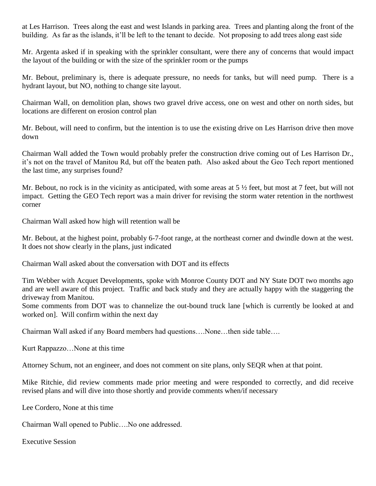at Les Harrison. Trees along the east and west Islands in parking area. Trees and planting along the front of the building. As far as the islands, it'll be left to the tenant to decide. Not proposing to add trees along east side

Mr. Argenta asked if in speaking with the sprinkler consultant, were there any of concerns that would impact the layout of the building or with the size of the sprinkler room or the pumps

Mr. Bebout, preliminary is, there is adequate pressure, no needs for tanks, but will need pump. There is a hydrant layout, but NO, nothing to change site layout.

Chairman Wall, on demolition plan, shows two gravel drive access, one on west and other on north sides, but locations are different on erosion control plan

Mr. Bebout, will need to confirm, but the intention is to use the existing drive on Les Harrison drive then move down

Chairman Wall added the Town would probably prefer the construction drive coming out of Les Harrison Dr., it's not on the travel of Manitou Rd, but off the beaten path. Also asked about the Geo Tech report mentioned the last time, any surprises found?

Mr. Bebout, no rock is in the vicinity as anticipated, with some areas at  $5\frac{1}{2}$  feet, but most at 7 feet, but will not impact. Getting the GEO Tech report was a main driver for revising the storm water retention in the northwest corner

Chairman Wall asked how high will retention wall be

Mr. Bebout, at the highest point, probably 6-7-foot range, at the northeast corner and dwindle down at the west. It does not show clearly in the plans, just indicated

Chairman Wall asked about the conversation with DOT and its effects

Tim Webber with Acquet Developments, spoke with Monroe County DOT and NY State DOT two months ago and are well aware of this project. Traffic and back study and they are actually happy with the staggering the driveway from Manitou.

Some comments from DOT was to channelize the out-bound truck lane [which is currently be looked at and worked on]. Will confirm within the next day

Chairman Wall asked if any Board members had questions….None…then side table….

Kurt Rappazzo…None at this time

Attorney Schum, not an engineer, and does not comment on site plans, only SEQR when at that point.

Mike Ritchie, did review comments made prior meeting and were responded to correctly, and did receive revised plans and will dive into those shortly and provide comments when/if necessary

Lee Cordero, None at this time

Chairman Wall opened to Public….No one addressed.

Executive Session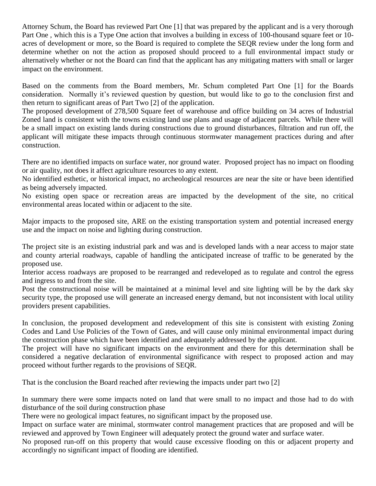Attorney Schum, the Board has reviewed Part One [1] that was prepared by the applicant and is a very thorough Part One , which this is a Type One action that involves a building in excess of 100-thousand square feet or 10 acres of development or more, so the Board is required to complete the SEQR review under the long form and determine whether on not the action as proposed should proceed to a full environmental impact study or alternatively whether or not the Board can find that the applicant has any mitigating matters with small or larger impact on the environment.

Based on the comments from the Board members, Mr. Schum completed Part One [1] for the Boards consideration. Normally it's reviewed question by question, but would like to go to the conclusion first and then return to significant areas of Part Two [2] of the application.

The proposed development of 278,500 Square feet of warehouse and office building on 34 acres of Industrial Zoned land is consistent with the towns existing land use plans and usage of adjacent parcels. While there will be a small impact on existing lands during constructions due to ground disturbances, filtration and run off, the applicant will mitigate these impacts through continuous stormwater management practices during and after construction.

There are no identified impacts on surface water, nor ground water. Proposed project has no impact on flooding or air quality, not does it affect agriculture resources to any extent.

No identified esthetic, or historical impact, no archeological resources are near the site or have been identified as being adversely impacted.

No existing open space or recreation areas are impacted by the development of the site, no critical environmental areas located within or adjacent to the site.

Major impacts to the proposed site, ARE on the existing transportation system and potential increased energy use and the impact on noise and lighting during construction.

The project site is an existing industrial park and was and is developed lands with a near access to major state and county arterial roadways, capable of handling the anticipated increase of traffic to be generated by the proposed use.

Interior access roadways are proposed to be rearranged and redeveloped as to regulate and control the egress and ingress to and from the site.

Post the constructional noise will be maintained at a minimal level and site lighting will be by the dark sky security type, the proposed use will generate an increased energy demand, but not inconsistent with local utility providers present capabilities.

In conclusion, the proposed development and redevelopment of this site is consistent with existing Zoning Codes and Land Use Policies of the Town of Gates, and will cause only minimal environmental impact during the construction phase which have been identified and adequately addressed by the applicant.

The project will have no significant impacts on the environment and there for this determination shall be considered a negative declaration of environmental significance with respect to proposed action and may proceed without further regards to the provisions of SEQR.

That is the conclusion the Board reached after reviewing the impacts under part two [2]

In summary there were some impacts noted on land that were small to no impact and those had to do with disturbance of the soil during construction phase

There were no geological impact features, no significant impact by the proposed use.

Impact on surface water are minimal, stormwater control management practices that are proposed and will be reviewed and approved by Town Engineer will adequately protect the ground water and surface water.

No proposed run-off on this property that would cause excessive flooding on this or adjacent property and accordingly no significant impact of flooding are identified.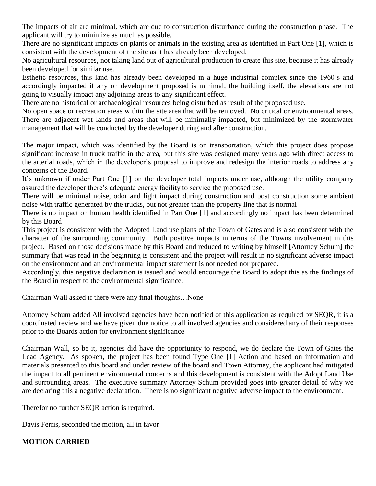The impacts of air are minimal, which are due to construction disturbance during the construction phase. The applicant will try to minimize as much as possible.

There are no significant impacts on plants or animals in the existing area as identified in Part One [1], which is consistent with the development of the site as it has already been developed.

No agricultural resources, not taking land out of agricultural production to create this site, because it has already been developed for similar use.

Esthetic resources, this land has already been developed in a huge industrial complex since the 1960's and accordingly impacted if any on development proposed is minimal, the building itself, the elevations are not going to visually impact any adjoining areas to any significant effect.

There are no historical or archaeological resources being disturbed as result of the proposed use.

No open space or recreation areas within the site area that will be removed. No critical or environmental areas. There are adjacent wet lands and areas that will be minimally impacted, but minimized by the stormwater management that will be conducted by the developer during and after construction.

The major impact, which was identified by the Board is on transportation, which this project does propose significant increase in truck traffic in the area, but this site was designed many years ago with direct access to the arterial roads, which in the developer's proposal to improve and redesign the interior roads to address any concerns of the Board.

It's unknown if under Part One [1] on the developer total impacts under use, although the utility company assured the developer there's adequate energy facility to service the proposed use.

There will be minimal noise, odor and light impact during construction and post construction some ambient noise with traffic generated by the trucks, but not greater than the property line that is normal

There is no impact on human health identified in Part One [1] and accordingly no impact has been determined by this Board

This project is consistent with the Adopted Land use plans of the Town of Gates and is also consistent with the character of the surrounding community. Both positive impacts in terms of the Towns involvement in this project. Based on those decisions made by this Board and reduced to writing by himself [Attorney Schum] the summary that was read in the beginning is consistent and the project will result in no significant adverse impact on the environment and an environmental impact statement is not needed nor prepared.

Accordingly, this negative declaration is issued and would encourage the Board to adopt this as the findings of the Board in respect to the environmental significance.

Chairman Wall asked if there were any final thoughts…None

Attorney Schum added All involved agencies have been notified of this application as required by SEQR, it is a coordinated review and we have given due notice to all involved agencies and considered any of their responses prior to the Boards action for environment significance

Chairman Wall, so be it, agencies did have the opportunity to respond, we do declare the Town of Gates the Lead Agency. As spoken, the project has been found Type One [1] Action and based on information and materials presented to this board and under review of the board and Town Attorney, the applicant had mitigated the impact to all pertinent environmental concerns and this development is consistent with the Adopt Land Use and surrounding areas. The executive summary Attorney Schum provided goes into greater detail of why we are declaring this a negative declaration. There is no significant negative adverse impact to the environment.

Therefor no further SEQR action is required.

Davis Ferris, seconded the motion, all in favor

# **MOTION CARRIED**